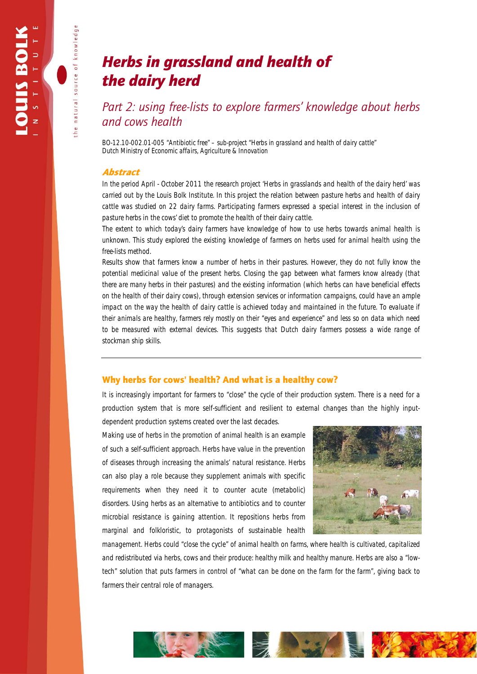natural source of knowledge

# *Herbs in grassland and health of the dairy herd*

*Part 2: using free-lists to explore farmers' knowledge about herbs and cows health* 

*BO-12.10-002.01-005 "Antibiotic free" – sub-project "Herbs in grassland and health of dairy cattle" Dutch Ministry of Economic affairs, Agriculture & Innovation* 

### Abstract

*In the period April - October 2011 the research project 'Herbs in grasslands and health of the dairy herd' was carried out by the Louis Bolk Institute. In this project the relation between pasture herbs and health of dairy cattle was studied on 22 dairy farms. Participating farmers expressed a special interest in the inclusion of pasture herbs in the cows' diet to promote the health of their dairy cattle.* 

*The extent to which today's dairy farmers have knowledge of how to use herbs towards animal health is unknown. This study explored the existing knowledge of farmers on herbs used for animal health using the free-lists method.* 

*Results show that farmers know a number of herbs in their pastures. However, they do not fully know the potential medicinal value of the present herbs. Closing the gap between what farmers know already (that there are many herbs in their pastures) and the existing information (which herbs can have beneficial effects on the health of their dairy cows), through extension services or information campaigns, could have an ample impact on the way the health of dairy cattle is achieved today and maintained in the future. To evaluate if their animals are healthy, farmers rely mostly on their "eyes and experience" and less so on data which need to be measured with external devices. This suggests that Dutch dairy farmers possess a wide range of stockman ship skills.* 

## Why herbs for cows' health? And what is a healthy cow?

It is increasingly important for farmers to "close" the cycle of their production system. There is a need for a production system that is more self-sufficient and resilient to external changes than the highly input-

dependent production systems created over the last decades. Making use of herbs in the promotion of animal health is an example of such a self-sufficient approach. Herbs have value in the prevention of diseases through increasing the animals' natural resistance. Herbs can also play a role because they supplement animals with specific requirements when they need it to counter acute (metabolic) disorders. Using herbs as an alternative to antibiotics and to counter microbial resistance is gaining attention. It repositions herbs from marginal and folkloristic, to protagonists of sustainable health



management. Herbs could "close the cycle" of animal health on farms, where *health is cultivated, capitalized and redistributed* via herbs, cows and their produce: healthy milk and healthy manure. Herbs are also a "lowtech" solution that puts farmers in control of "*what can be done on the farm for the farm*", giving back to farmers their central role of managers.

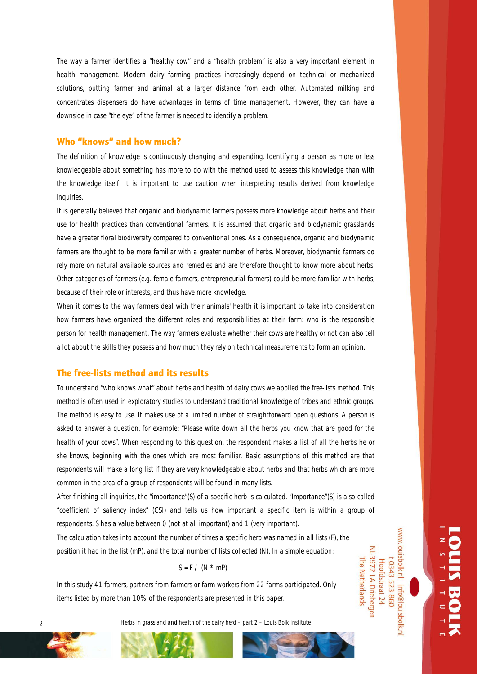The way a farmer identifies a "healthy cow" and a "health problem" is also a very important element in health management. Modern dairy farming practices increasingly depend on technical or mechanized solutions, putting farmer and animal at a larger distance from each other. Automated milking and concentrates dispensers do have advantages in terms of time management. However, they can have a downside in case "the eye" of the farmer is needed to identify a problem.

#### Who "knows" and how much?

The definition of *knowledge* is continuously changing and expanding. Identifying a person as more or less knowledgeable about something has more to do with the method used to assess this knowledge than with the knowledge itself. It is important to use caution when interpreting results derived from knowledge inquiries.

It is generally believed that organic and biodynamic farmers possess more knowledge about herbs and their use for health practices than conventional farmers. It is assumed that organic and biodynamic grasslands have a greater floral biodiversity compared to conventional ones. As a consequence, organic and biodynamic farmers are thought to be more familiar with a greater number of herbs. Moreover, biodynamic farmers do rely more on natural available sources and remedies and are therefore thought to know more about herbs. Other categories of farmers (e.g. female farmers, entrepreneurial farmers) could be more familiar with herbs, because of their role or interests, and thus have more knowledge.

When it comes to the way farmers deal with their animals' health it is important to take into consideration how farmers have organized the different roles and responsibilities at their farm: who is the responsible person for health management. The way farmers evaluate whether their cows are healthy or not can also tell a lot about the skills they possess and how much they rely on technical measurements to form an opinion.

#### The free-lists method and its results

To understand "who knows what" about herbs and health of dairy cows we applied the *free-lists* method. This method is often used in exploratory studies to understand traditional knowledge of tribes and ethnic groups. The method is easy to use. It makes use of a limited number of straightforward open questions. A person is asked to answer a question, for example: "Please write down all the herbs you know that are good for the health of your cows". When responding to this question, the respondent makes a list of all the herbs he or she knows, beginning with the ones which are most familiar. Basic assumptions of this method are that respondents will make a long list if they are very knowledgeable about herbs and that herbs which are more common in the area of a group of respondents will be found in many lists.

After finishing all inquiries, the "importance"(S) of a specific herb is calculated. "Importance"(S) is also called "coefficient of saliency index" (CSI) and tells us how important a specific item is within a group of respondents. S has a value between 0 (not at all important) and 1 (very important).

The calculation takes into account the number of times a specific herb was named in all lists (F), the position it had in the list (mP), and the total number of lists collected (N). In a simple equation:

#### $S = F / (N * mP)$

In this study 41 farmers, partners from farmers or farm workers from 22 farms participated. Only items listed by more than 10% of the respondents are presented in this paper.

2 *Herbs in grassland and health of the dairy herd – part 2 – Louis Bolk Institute*



www.louisbolk.nl info@louisbolk.n

NL-3972 LA Drieberger

Hoofdstraat 24

The Netherlands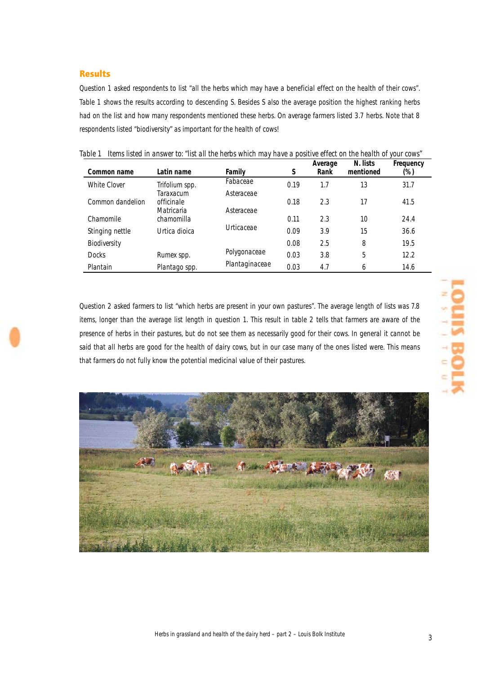## Results

Question 1 asked respondents to list "all the herbs which may have a beneficial effect on the health of their cows". Table 1 shows the results according to descending S. Besides S also the average position the highest ranking herbs had on the list and how many respondents mentioned these herbs. On average farmers listed 3.7 herbs. Note that 8 respondents listed "biodiversity" as important for the health of cows!

| Common name      | Latin name                            | Family                   | S    | Average<br>Rank | N. lists<br>mentioned | Frequency<br>(%) |
|------------------|---------------------------------------|--------------------------|------|-----------------|-----------------------|------------------|
| White Clover     | Trifolium spp.                        | Fabaceae                 | 0.19 | 1.7             | 13                    | 31.7             |
| Common dandelion | Taraxacum<br>officinale<br>Matricaria | Asteraceae<br>Asteraceae | 0.18 | 2.3             | 17                    | 41.5             |
| Chamomile        | chamomilla                            |                          | 0.11 | 2.3             | 10                    | 24.4             |
| Stinging nettle  | Urtica dioica                         | Urticaceae               | 0.09 | 3.9             | 15                    | 36.6             |
| Biodiversity     |                                       |                          | 0.08 | 2.5             | 8                     | 19.5             |
| <b>Docks</b>     | Rumex spp.                            | Polygonaceae             | 0.03 | 3.8             | 5                     | 12.2             |
| Plantain         | Plantago spp.                         | Plantaginaceae           | 0.03 | 4.7             | 6                     | 14.6             |

*Table 1 Items listed in answer to: "list all the herbs which may have a positive effect on the health of your cows"* 

Question 2 asked farmers to list "which herbs are present in your own pastures". The average length of lists was 7.8 items, longer than the average list length in question 1. This result in table 2 tells that farmers are aware of the presence of herbs in their pastures, but do not see them as necessarily good for their cows. In general it cannot be said that *all herbs* are good for the health of dairy cows, but in our case many of the ones listed were. This means that farmers do not fully know the potential medicinal value of their pastures.

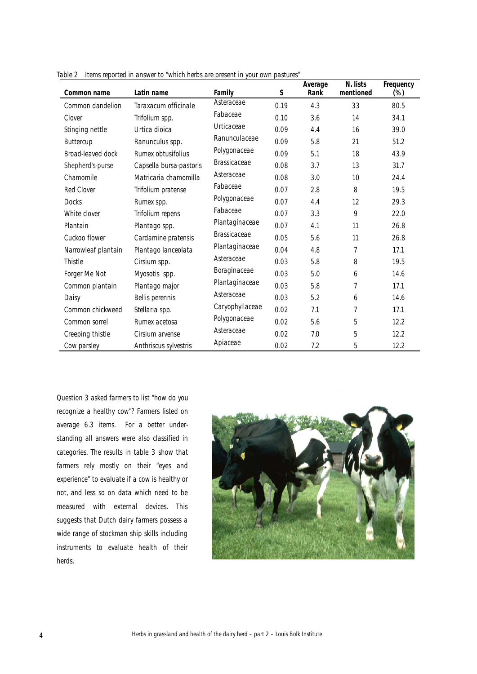| Common name         | Latin name              | Family              | S    | Average<br>Rank | N. lists<br>mentioned | Frequency<br>$(\%)$ |
|---------------------|-------------------------|---------------------|------|-----------------|-----------------------|---------------------|
| Common dandelion    | Taraxacum officinale    | Asteraceae          | 0.19 | 4.3             | 33                    | 80.5                |
| Clover              | Trifolium spp.          | Fabaceae            | 0.10 | 3.6             | 14                    | 34.1                |
| Stinging nettle     | Urtica dioica           | Urticaceae          | 0.09 | 4.4             | 16                    | 39.0                |
| Buttercup           | Ranunculus spp.         | Ranunculaceae       | 0.09 | 5.8             | 21                    | 51.2                |
| Broad-leaved dock   | Rumex obtusifolius      | Polygonaceae        | 0.09 | 5.1             | 18                    | 43.9                |
| Shepherd's-purse    | Capsella bursa-pastoris | <b>Brassicaceae</b> | 0.08 | 3.7             | 13                    | 31.7                |
| Chamomile           | Matricaria chamomilla   | Asteraceae          | 0.08 | 3.0             | 10                    | 24.4                |
| <b>Red Clover</b>   | Trifolium pratense      | Fabaceae            | 0.07 | 2.8             | 8                     | 19.5                |
| <b>Docks</b>        | Rumex spp.              | Polygonaceae        | 0.07 | 4.4             | 12                    | 29.3                |
| White clover        | Trifolium repens        | Fabaceae            | 0.07 | 3.3             | 9                     | 22.0                |
| Plantain            | Plantago spp.           | Plantaginaceae      | 0.07 | 4.1             | 11                    | 26.8                |
| Cuckoo flower       | Cardamine pratensis     | <b>Brassicaceae</b> | 0.05 | 5.6             | 11                    | 26.8                |
| Narrowleaf plantain | Plantago lanceolata     | Plantaginaceae      | 0.04 | 4.8             | 7                     | 17.1                |
| Thistle             | Cirsium spp.            | Asteraceae          | 0.03 | 5.8             | 8                     | 19.5                |
| Forger Me Not       | Myosotis spp.           | Boraginaceae        | 0.03 | 5.0             | 6                     | 14.6                |
| Common plantain     | Plantago major          | Plantaginaceae      | 0.03 | 5.8             | 7                     | 17.1                |
| Daisy               | Bellis perennis         | Asteraceae          | 0.03 | 5.2             | 6                     | 14.6                |
| Common chickweed    | Stellaria spp.          | Caryophyllaceae     | 0.02 | 7.1             | 7                     | 17.1                |
| Common sorrel       | Rumex acetosa           | Polygonaceae        | 0.02 | 5.6             | 5                     | 12.2                |
| Creeping thistle    | Cirsium arvense         | Asteraceae          | 0.02 | 7.0             | 5                     | 12.2                |
| Cow parsley         | Anthriscus sylvestris   | Apiaceae            | 0.02 | 7.2             | 5                     | 12.2                |

*Table 2 Items reported in answer to "which herbs are present in your own pastures"*

Question 3 asked farmers to list "how do you recognize a healthy cow"? Farmers listed on average 6.3 items. For a better understanding all answers were also classified in categories. The results in table 3 show that farmers rely mostly on their "eyes and experience" to evaluate if a cow is healthy or not, and less so on data which need to be measured with external devices. This suggests that Dutch dairy farmers possess a wide range of stockman ship skills including instruments to evaluate health of their herds.

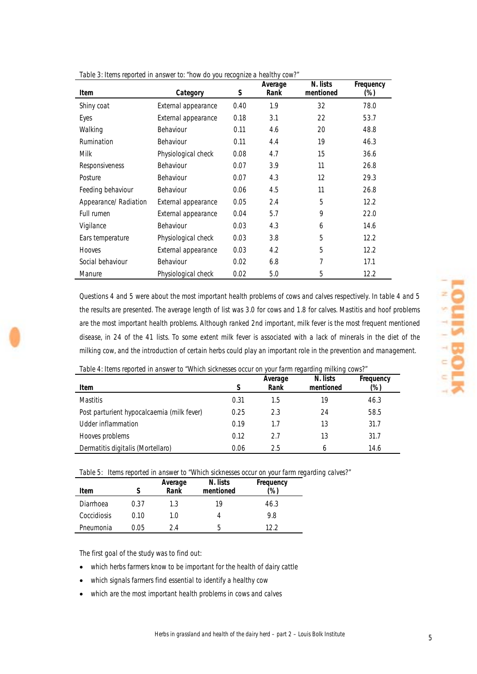| rapic of home reported in answer to. Tion ao you recognize a meaniny cont.<br><b>Item</b> | Category            | S    | Average<br>Rank | N. lists<br>mentioned | Frequency<br>(%) |
|-------------------------------------------------------------------------------------------|---------------------|------|-----------------|-----------------------|------------------|
| Shiny coat                                                                                | External appearance | 0.40 | 1.9             | 32                    | 78.0             |
| Eyes                                                                                      | External appearance | 0.18 | 3.1             | 22                    | 53.7             |
| Walking                                                                                   | Behaviour           | 0.11 | 4.6             | 20                    | 48.8             |
| Rumination                                                                                | Behaviour           | 0.11 | 4.4             | 19                    | 46.3             |
| <b>Milk</b>                                                                               | Physiological check | 0.08 | 4.7             | 15                    | 36.6             |
| Responsiveness                                                                            | Behaviour           | 0.07 | 3.9             | 11                    | 26.8             |
| Posture                                                                                   | Behaviour           | 0.07 | 4.3             | 12                    | 29.3             |
| Feeding behaviour                                                                         | Behaviour           | 0.06 | 4.5             | 11                    | 26.8             |
| Appearance/Radiation                                                                      | External appearance | 0.05 | 2.4             | 5                     | 12.2             |
| Full rumen                                                                                | External appearance | 0.04 | 5.7             | 9                     | 22.0             |
| Vigilance                                                                                 | Behaviour           | 0.03 | 4.3             | 6                     | 14.6             |
| Ears temperature                                                                          | Physiological check | 0.03 | 3.8             | 5                     | 12.2             |
| Hooves                                                                                    | External appearance | 0.03 | 4.2             | 5                     | 12.2             |
| Social behaviour                                                                          | Behaviour           | 0.02 | 6.8             | 7                     | 17.1             |
| Manure                                                                                    | Physiological check | 0.02 | 5.0             | 5                     | 12.2             |

*Table 3: Items reported in answer to: "how do you recognize a healthy cow?"* 

Questions 4 and 5 were about the most important health problems of cows and calves respectively. In table 4 and 5 the results are presented. The average length of list was 3.0 for cows and 1.8 for calves. Mastitis and hoof problems are the most important health problems. Although ranked 2nd important, milk fever is the most frequent mentioned disease, in 24 of the 41 lists. To some extent milk fever is associated with a lack of minerals in the diet of the milking cow, and the introduction of certain herbs could play an important role in the prevention and management.

| "Table 4: Items reported in answer to "Which sicknesses occur on your farm regarding milking cows?" |  |  |  |
|-----------------------------------------------------------------------------------------------------|--|--|--|
|                                                                                                     |  |  |  |

| Item                                       |      | Average<br>Rank | N. lists<br>mentioned | Frequency<br>(%) |
|--------------------------------------------|------|-----------------|-----------------------|------------------|
| <b>Mastitis</b>                            | 0.31 | 1.5             | 19                    | 46.3             |
| Post parturient hypocalcaemia (milk fever) | 0.25 | 2.3             | 24                    | 58.5             |
| Udder inflammation                         | 0.19 | 1.7             | 13                    | 31.7             |
| Hooves problems                            | 0.12 | 2.7             | 13                    | 31.7             |
| Dermatitis digitalis (Mortellaro)          | 0.06 | 2.5             | 6                     | 14.6             |

*Table 5: Items reported in answer to "Which sicknesses occur on your farm regarding calves?"* 

| Item        |      | Average<br>Rank | N. lists<br>mentioned | Frequency<br>(%) |
|-------------|------|-----------------|-----------------------|------------------|
| Diarrhoea   | 0.37 | $1.3\,$         | 19                    | 46.3             |
| Coccidiosis | 0.10 | 1.0             | 4                     | 9.8              |
| Pneumonia   | 0.05 | 2.4             | b                     | 12.2             |

The first goal of the study was to find out:

- which herbs farmers know to be important for the health of dairy cattle
- which signals farmers find essential to identify a healthy cow
- which are the most important health problems in cows and calves